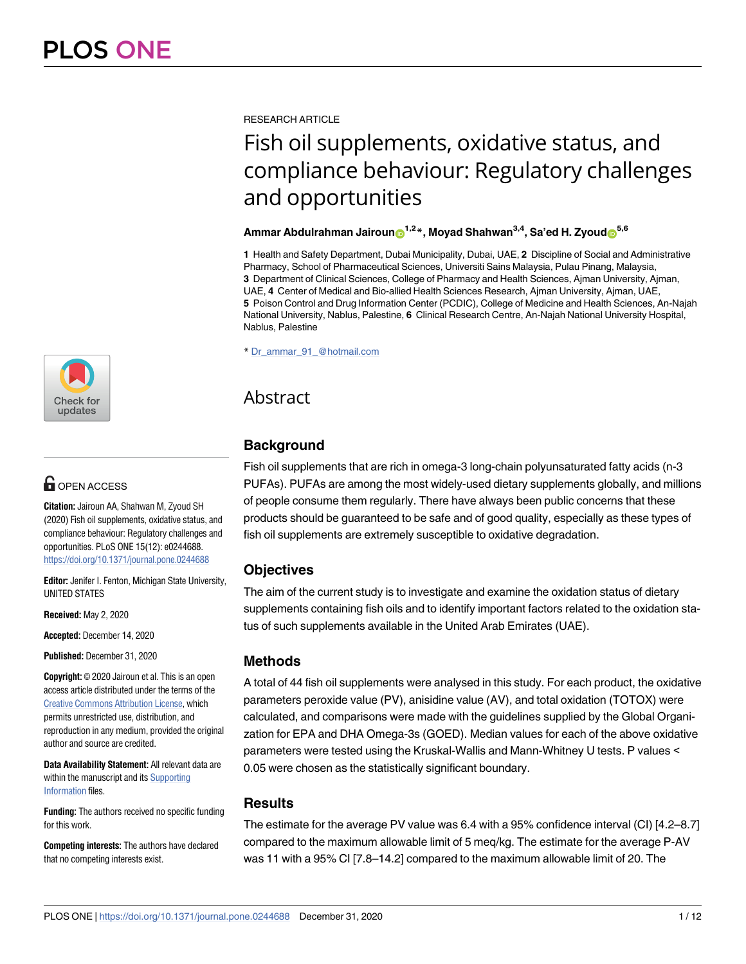

# **G** OPEN ACCESS

**Citation:** Jairoun AA, Shahwan M, Zyoud SH (2020) Fish oil supplements, oxidative status, and compliance behaviour: Regulatory challenges and opportunities. PLoS ONE 15(12): e0244688. <https://doi.org/10.1371/journal.pone.0244688>

**Editor:** Jenifer I. Fenton, Michigan State University, UNITED STATES

**Received:** May 2, 2020

**Accepted:** December 14, 2020

**Published:** December 31, 2020

**Copyright:** © 2020 Jairoun et al. This is an open access article distributed under the terms of the [Creative Commons Attribution License,](http://creativecommons.org/licenses/by/4.0/) which permits unrestricted use, distribution, and reproduction in any medium, provided the original author and source are credited.

**Data Availability Statement:** All relevant data are within the manuscript and its [Supporting](#page-9-0) [Information](#page-9-0) files.

**Funding:** The authors received no specific funding for this work.

**Competing interests:** The authors have declared that no competing interests exist.

RESEARCH ARTICLE

# Fish oil supplements, oxidative status, and compliance behaviour: Regulatory challenges and opportunities

#### **Ammar Abdulrahman Jairoun**<sup>1,2</sup><sup>\*</sup>, Moyad Shahwan<sup>3,4</sup>, Sa'ed H. Zyoud<sub></sub><sup>5,6</sup>

**1** Health and Safety Department, Dubai Municipality, Dubai, UAE, **2** Discipline of Social and Administrative Pharmacy, School of Pharmaceutical Sciences, Universiti Sains Malaysia, Pulau Pinang, Malaysia, **3** Department of Clinical Sciences, College of Pharmacy and Health Sciences, Ajman University, Ajman, UAE, **4** Center of Medical and Bio-allied Health Sciences Research, Ajman University, Ajman, UAE, **5** Poison Control and Drug Information Center (PCDIC), College of Medicine and Health Sciences, An-Najah National University, Nablus, Palestine, **6** Clinical Research Centre, An-Najah National University Hospital, Nablus, Palestine

\* Dr\_ammar\_91\_@hotmail.com

# Abstract

# **Background**

Fish oil supplements that are rich in omega-3 long-chain polyunsaturated fatty acids (n-3 PUFAs). PUFAs are among the most widely-used dietary supplements globally, and millions of people consume them regularly. There have always been public concerns that these products should be guaranteed to be safe and of good quality, especially as these types of fish oil supplements are extremely susceptible to oxidative degradation.

# **Objectives**

The aim of the current study is to investigate and examine the oxidation status of dietary supplements containing fish oils and to identify important factors related to the oxidation status of such supplements available in the United Arab Emirates (UAE).

# **Methods**

A total of 44 fish oil supplements were analysed in this study. For each product, the oxidative parameters peroxide value (PV), anisidine value (AV), and total oxidation (TOTOX) were calculated, and comparisons were made with the guidelines supplied by the Global Organization for EPA and DHA Omega-3s (GOED). Median values for each of the above oxidative parameters were tested using the Kruskal-Wallis and Mann-Whitney U tests. P values < 0.05 were chosen as the statistically significant boundary.

# **Results**

The estimate for the average PV value was 6.4 with a 95% confidence interval (CI) [4.2–8.7] compared to the maximum allowable limit of 5 meq/kg. The estimate for the average P-AV was 11 with a 95% CI [7.8–14.2] compared to the maximum allowable limit of 20. The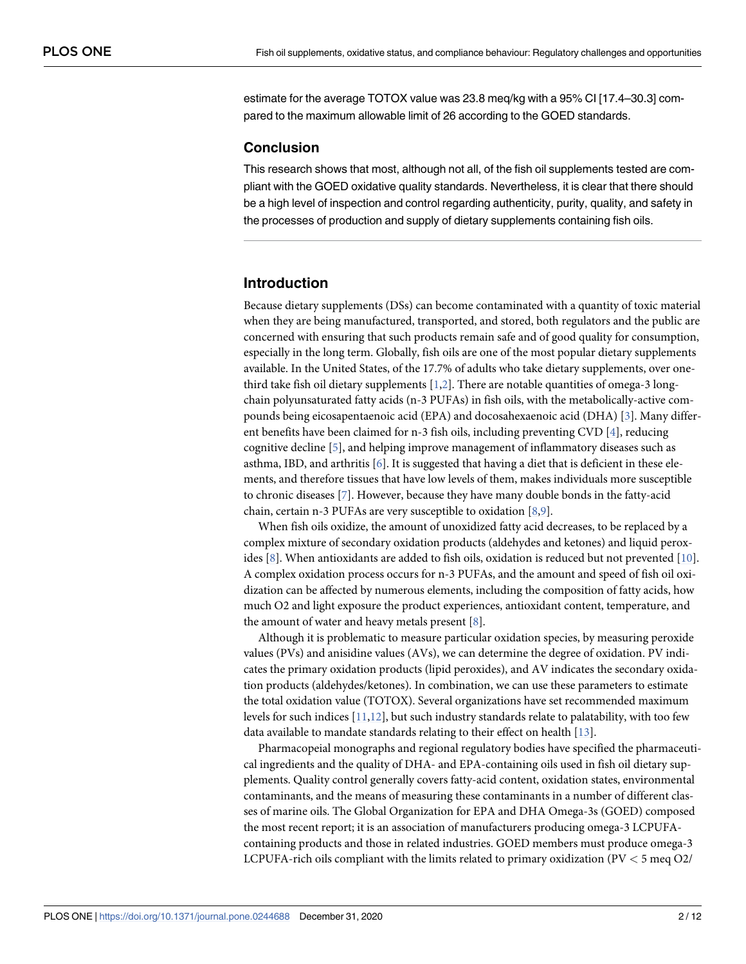<span id="page-1-0"></span>estimate for the average TOTOX value was 23.8 meq/kg with a 95% CI [17.4–30.3] compared to the maximum allowable limit of 26 according to the GOED standards.

#### **Conclusion**

This research shows that most, although not all, of the fish oil supplements tested are compliant with the GOED oxidative quality standards. Nevertheless, it is clear that there should be a high level of inspection and control regarding authenticity, purity, quality, and safety in the processes of production and supply of dietary supplements containing fish oils.

#### **Introduction**

Because dietary supplements (DSs) can become contaminated with a quantity of toxic material when they are being manufactured, transported, and stored, both regulators and the public are concerned with ensuring that such products remain safe and of good quality for consumption, especially in the long term. Globally, fish oils are one of the most popular dietary supplements available. In the United States, of the 17.7% of adults who take dietary supplements, over onethird take fish oil dietary supplements  $[1,2]$  $[1,2]$  $[1,2]$ . There are notable quantities of omega-3 longchain polyunsaturated fatty acids (n-3 PUFAs) in fish oils, with the metabolically-active compounds being eicosapentaenoic acid (EPA) and docosahexaenoic acid (DHA) [[3](#page-10-0)]. Many different benefits have been claimed for n-3 fish oils, including preventing CVD  $[4]$  $[4]$ , reducing cognitive decline [\[5\]](#page-10-0), and helping improve management of inflammatory diseases such as asthma, IBD, and arthritis  $[6]$ . It is suggested that having a diet that is deficient in these elements, and therefore tissues that have low levels of them, makes individuals more susceptible to chronic diseases [\[7](#page-10-0)]. However, because they have many double bonds in the fatty-acid chain, certain n-3 PUFAs are very susceptible to oxidation [[8](#page-10-0),[9](#page-10-0)].

When fish oils oxidize, the amount of unoxidized fatty acid decreases, to be replaced by a complex mixture of secondary oxidation products (aldehydes and ketones) and liquid peroxides [\[8](#page-10-0)]. When antioxidants are added to fish oils, oxidation is reduced but not prevented [\[10\]](#page-10-0). A complex oxidation process occurs for n-3 PUFAs, and the amount and speed of fish oil oxidization can be affected by numerous elements, including the composition of fatty acids, how much O2 and light exposure the product experiences, antioxidant content, temperature, and the amount of water and heavy metals present  $[8]$ .

Although it is problematic to measure particular oxidation species, by measuring peroxide values (PVs) and anisidine values (AVs), we can determine the degree of oxidation. PV indicates the primary oxidation products (lipid peroxides), and AV indicates the secondary oxidation products (aldehydes/ketones). In combination, we can use these parameters to estimate the total oxidation value (TOTOX). Several organizations have set recommended maximum levels for such indices  $[11,12]$  $[11,12]$  $[11,12]$  $[11,12]$ , but such industry standards relate to palatability, with too few data available to mandate standards relating to their effect on health [[13](#page-10-0)].

Pharmacopeial monographs and regional regulatory bodies have specified the pharmaceutical ingredients and the quality of DHA- and EPA-containing oils used in fish oil dietary supplements. Quality control generally covers fatty-acid content, oxidation states, environmental contaminants, and the means of measuring these contaminants in a number of different classes of marine oils. The Global Organization for EPA and DHA Omega-3s (GOED) composed the most recent report; it is an association of manufacturers producing omega-3 LCPUFAcontaining products and those in related industries. GOED members must produce omega-3 LCPUFA-rich oils compliant with the limits related to primary oxidization (PV *<* 5 meq O2/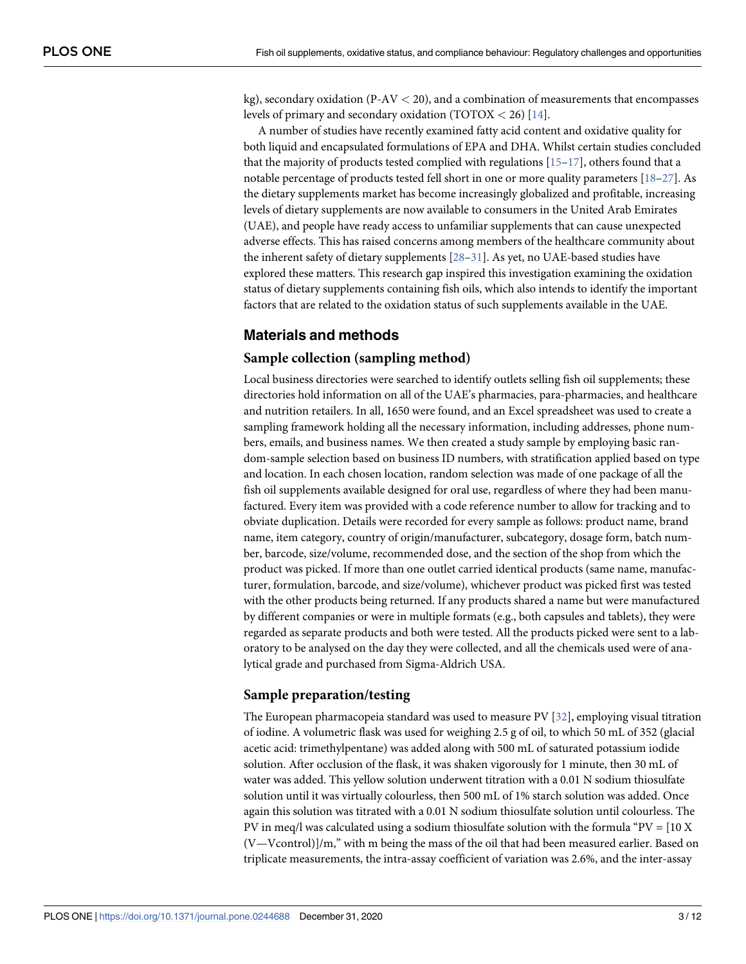<span id="page-2-0"></span>kg), secondary oxidation (P-AV *<* 20), and a combination of measurements that encompasses levels of primary and secondary oxidation (TOTOX *<* 26) [[14](#page-10-0)].

A number of studies have recently examined fatty acid content and oxidative quality for both liquid and encapsulated formulations of EPA and DHA. Whilst certain studies concluded that the majority of products tested complied with regulations [[15–17\]](#page-10-0), others found that a notable percentage of products tested fell short in one or more quality parameters  $[18–27]$  $[18–27]$  $[18–27]$ . As the dietary supplements market has become increasingly globalized and profitable, increasing levels of dietary supplements are now available to consumers in the United Arab Emirates (UAE), and people have ready access to unfamiliar supplements that can cause unexpected adverse effects. This has raised concerns among members of the healthcare community about the inherent safety of dietary supplements [[28](#page-11-0)–[31](#page-11-0)]. As yet, no UAE-based studies have explored these matters. This research gap inspired this investigation examining the oxidation status of dietary supplements containing fish oils, which also intends to identify the important factors that are related to the oxidation status of such supplements available in the UAE.

# **Materials and methods**

#### **Sample collection (sampling method)**

Local business directories were searched to identify outlets selling fish oil supplements; these directories hold information on all of the UAE's pharmacies, para-pharmacies, and healthcare and nutrition retailers. In all, 1650 were found, and an Excel spreadsheet was used to create a sampling framework holding all the necessary information, including addresses, phone numbers, emails, and business names. We then created a study sample by employing basic random-sample selection based on business ID numbers, with stratification applied based on type and location. In each chosen location, random selection was made of one package of all the fish oil supplements available designed for oral use, regardless of where they had been manufactured. Every item was provided with a code reference number to allow for tracking and to obviate duplication. Details were recorded for every sample as follows: product name, brand name, item category, country of origin/manufacturer, subcategory, dosage form, batch number, barcode, size/volume, recommended dose, and the section of the shop from which the product was picked. If more than one outlet carried identical products (same name, manufacturer, formulation, barcode, and size/volume), whichever product was picked first was tested with the other products being returned. If any products shared a name but were manufactured by different companies or were in multiple formats (e.g., both capsules and tablets), they were regarded as separate products and both were tested. All the products picked were sent to a laboratory to be analysed on the day they were collected, and all the chemicals used were of analytical grade and purchased from Sigma-Aldrich USA.

#### **Sample preparation/testing**

The European pharmacopeia standard was used to measure PV  $[32]$ , employing visual titration of iodine. A volumetric flask was used for weighing 2.5 g of oil, to which 50 mL of 352 (glacial acetic acid: trimethylpentane) was added along with 500 mL of saturated potassium iodide solution. After occlusion of the flask, it was shaken vigorously for 1 minute, then 30 mL of water was added. This yellow solution underwent titration with a 0.01 N sodium thiosulfate solution until it was virtually colourless, then 500 mL of 1% starch solution was added. Once again this solution was titrated with a 0.01 N sodium thiosulfate solution until colourless. The PV in meq/l was calculated using a sodium thiosulfate solution with the formula "PV =  $[10 \text{ X}]$ (V—Vcontrol)]/m," with m being the mass of the oil that had been measured earlier. Based on triplicate measurements, the intra-assay coefficient of variation was 2.6%, and the inter-assay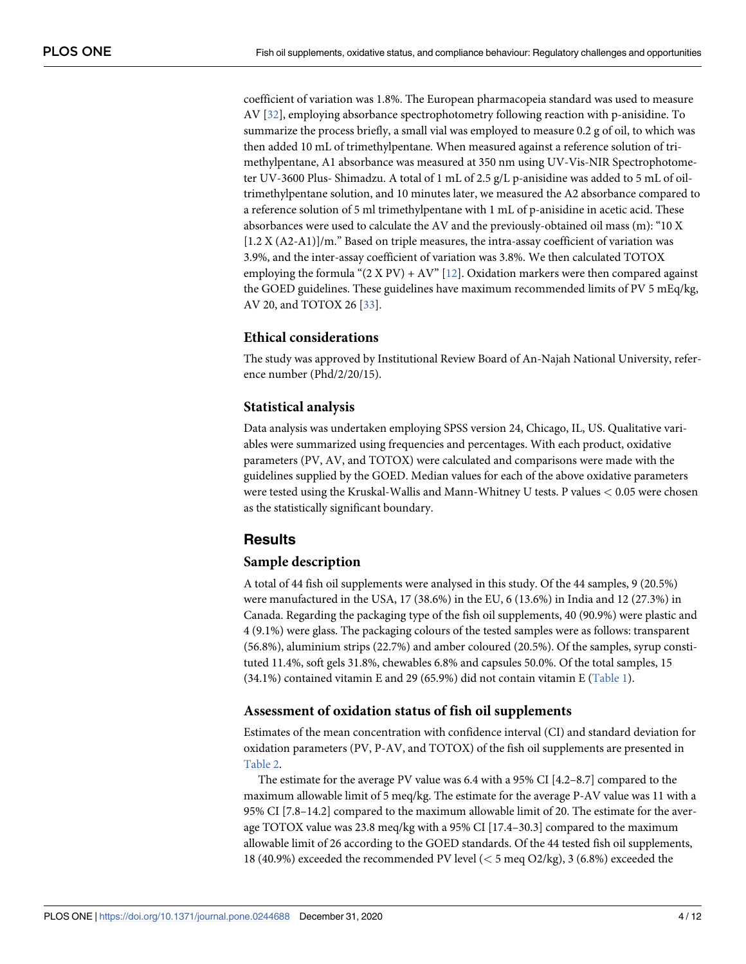<span id="page-3-0"></span>coefficient of variation was 1.8%. The European pharmacopeia standard was used to measure AV [\[32\]](#page-11-0), employing absorbance spectrophotometry following reaction with p-anisidine. To summarize the process briefly, a small vial was employed to measure 0.2 g of oil, to which was then added 10 mL of trimethylpentane. When measured against a reference solution of trimethylpentane, A1 absorbance was measured at 350 nm using UV-Vis-NIR Spectrophotometer UV-3600 Plus- Shimadzu. A total of 1 mL of 2.5 g/L p-anisidine was added to 5 mL of oiltrimethylpentane solution, and 10 minutes later, we measured the A2 absorbance compared to a reference solution of 5 ml trimethylpentane with 1 mL of p-anisidine in acetic acid. These absorbances were used to calculate the AV and the previously-obtained oil mass (m): "10 X [1.2 X (A2-A1)]/m." Based on triple measures, the intra-assay coefficient of variation was 3.9%, and the inter-assay coefficient of variation was 3.8%. We then calculated TOTOX employing the formula " $(2 \times PV) + AV$ " [\[12](#page-10-0)]. Oxidation markers were then compared against the GOED guidelines. These guidelines have maximum recommended limits of PV 5 mEq/kg, AV 20, and TOTOX 26 [\[33\]](#page-11-0).

# **Ethical considerations**

The study was approved by Institutional Review Board of An-Najah National University, reference number (Phd/2/20/15).

#### **Statistical analysis**

Data analysis was undertaken employing SPSS version 24, Chicago, IL, US. Qualitative variables were summarized using frequencies and percentages. With each product, oxidative parameters (PV, AV, and TOTOX) were calculated and comparisons were made with the guidelines supplied by the GOED. Median values for each of the above oxidative parameters were tested using the Kruskal-Wallis and Mann-Whitney U tests. P values *<* 0.05 were chosen as the statistically significant boundary.

# **Results**

#### **Sample description**

A total of 44 fish oil supplements were analysed in this study. Of the 44 samples, 9 (20.5%) were manufactured in the USA, 17 (38.6%) in the EU, 6 (13.6%) in India and 12 (27.3%) in Canada. Regarding the packaging type of the fish oil supplements, 40 (90.9%) were plastic and 4 (9.1%) were glass. The packaging colours of the tested samples were as follows: transparent (56.8%), aluminium strips (22.7%) and amber coloured (20.5%). Of the samples, syrup constituted 11.4%, soft gels 31.8%, chewables 6.8% and capsules 50.0%. Of the total samples, 15 (34.1%) contained vitamin E and 29 (65.9%) did not contain vitamin E [\(Table 1](#page-4-0)).

#### **Assessment of oxidation status of fish oil supplements**

Estimates of the mean concentration with confidence interval (CI) and standard deviation for oxidation parameters (PV, P-AV, and TOTOX) of the fish oil supplements are presented in [Table 2](#page-4-0).

The estimate for the average PV value was 6.4 with a 95% CI [4.2–8.7] compared to the maximum allowable limit of 5 meq/kg. The estimate for the average P-AV value was 11 with a 95% CI [7.8–14.2] compared to the maximum allowable limit of 20. The estimate for the average TOTOX value was 23.8 meq/kg with a 95% CI [17.4–30.3] compared to the maximum allowable limit of 26 according to the GOED standards. Of the 44 tested fish oil supplements, 18 (40.9%) exceeded the recommended PV level (*<* 5 meq O2/kg), 3 (6.8%) exceeded the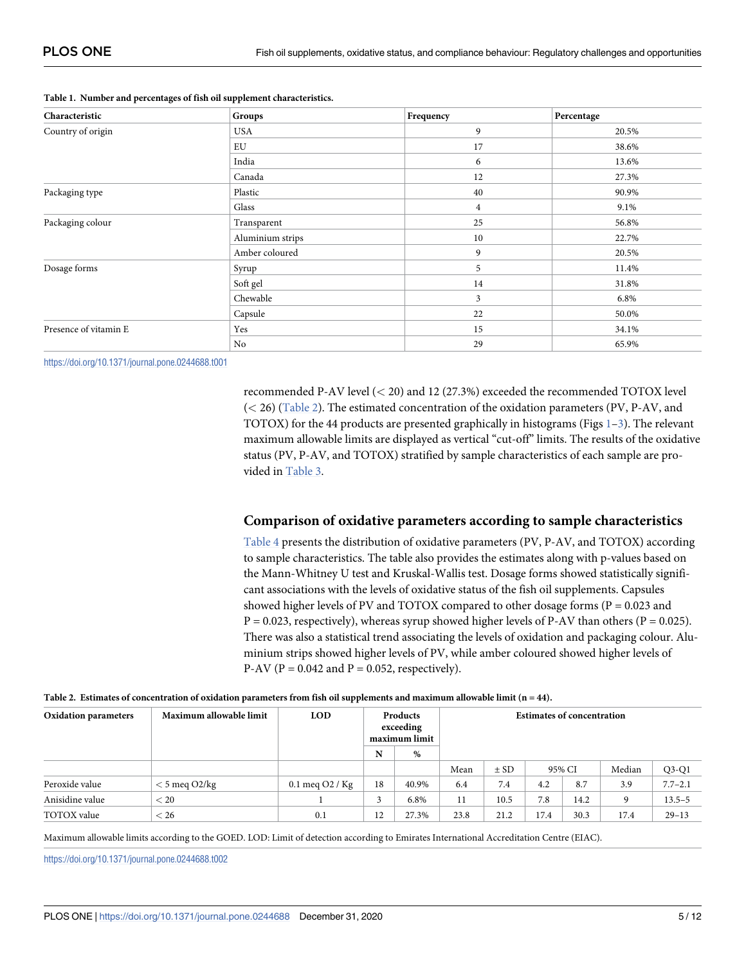| Characteristic        | Groups           | Frequency      | Percentage |
|-----------------------|------------------|----------------|------------|
| Country of origin     | <b>USA</b>       | 9              | 20.5%      |
|                       | EU               | 17             | 38.6%      |
|                       | India            | 6              | 13.6%      |
|                       | Canada           | 12             | 27.3%      |
| Packaging type        | Plastic          | 40             | 90.9%      |
|                       | Glass            | $\overline{4}$ | 9.1%       |
| Packaging colour      | Transparent      | 25             | 56.8%      |
|                       | Aluminium strips | 10             | 22.7%      |
|                       | Amber coloured   | 9              | 20.5%      |
| Dosage forms          | Syrup            | 5              | 11.4%      |
|                       | Soft gel         | 14             | 31.8%      |
|                       | Chewable         | 3              | 6.8%       |
|                       | Capsule          | 22             | 50.0%      |
| Presence of vitamin E | Yes              | 15             | 34.1%      |
|                       | No               | 29             | 65.9%      |

<span id="page-4-0"></span>**[Table 1.](#page-3-0) Number and percentages of fish oil supplement characteristics.**

<https://doi.org/10.1371/journal.pone.0244688.t001>

recommended P-AV level (*<* 20) and 12 (27.3%) exceeded the recommended TOTOX level (*<* 26) (Table 2). The estimated concentration of the oxidation parameters (PV, P-AV, and TOTOX) for the 44 products are presented graphically in histograms (Figs [1](#page-5-0)[–3\)](#page-6-0). The relevant maximum allowable limits are displayed as vertical "cut-off" limits. The results of the oxidative status (PV, P-AV, and TOTOX) stratified by sample characteristics of each sample are provided in [Table 3.](#page-7-0)

# **Comparison of oxidative parameters according to sample characteristics**

[Table 4](#page-8-0) presents the distribution of oxidative parameters (PV, P-AV, and TOTOX) according to sample characteristics. The table also provides the estimates along with p-values based on the Mann-Whitney U test and Kruskal-Wallis test. Dosage forms showed statistically significant associations with the levels of oxidative status of the fish oil supplements. Capsules showed higher levels of PV and TOTOX compared to other dosage forms ( $P = 0.023$  and  $P = 0.023$ , respectively), whereas syrup showed higher levels of P-AV than others (P = 0.025). There was also a statistical trend associating the levels of oxidation and packaging colour. Aluminium strips showed higher levels of PV, while amber coloured showed higher levels of P-AV ( $P = 0.042$  and  $P = 0.052$ , respectively).

|  | Table 2. Estimates of concentration of oxidation parameters from fish oil supplements and maximum allowable limit ( $n = 44$ ). |  |  |  |
|--|---------------------------------------------------------------------------------------------------------------------------------|--|--|--|
|--|---------------------------------------------------------------------------------------------------------------------------------|--|--|--|

| <b>Oxidation parameters</b> | Maximum allowable limit | <b>LOD</b>                         | Products<br>exceeding<br>maximum limit |       | <b>Estimates of concentration</b> |          |      |        |        |             |
|-----------------------------|-------------------------|------------------------------------|----------------------------------------|-------|-----------------------------------|----------|------|--------|--------|-------------|
|                             |                         |                                    | N                                      | $\%$  |                                   |          |      |        |        |             |
|                             |                         |                                    |                                        |       | Mean                              | $\pm$ SD |      | 95% CI | Median | $Q3-Q1$     |
| Peroxide value              | $<$ 5 meq O2/kg         | $0.1 \text{ meq } O2 / \text{ Kg}$ | 18                                     | 40.9% | 6.4                               | 7.4      | 4.2  | 8.7    | 3.9    | $7.7 - 2.1$ |
| Anisidine value             | < 20                    |                                    | 3                                      | 6.8%  | 11                                | 10.5     | 7.8  | 14.2   | 9      | $13.5 - 5$  |
| TOTOX value                 | < 26                    | 0.1                                | 12                                     | 27.3% | 23.8                              | 21.2     | 17.4 | 30.3   | 17.4   | $29 - 13$   |

Maximum allowable limits according to the GOED. LOD: Limit of detection according to Emirates International Accreditation Centre (EIAC).

<https://doi.org/10.1371/journal.pone.0244688.t002>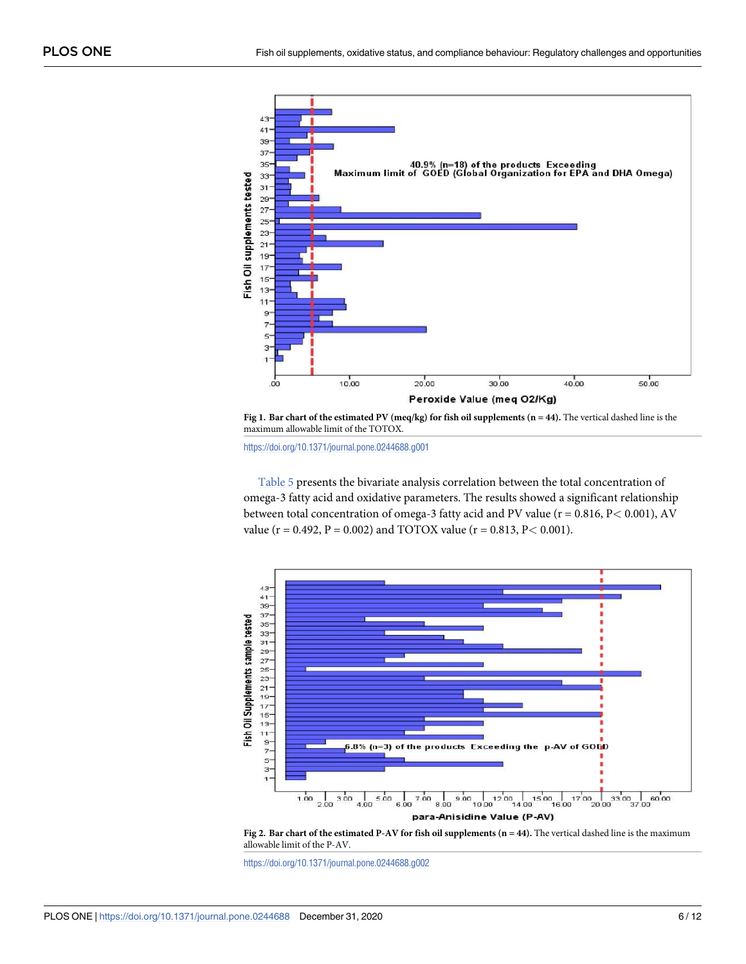<span id="page-5-0"></span>

**[Fig 1. B](#page-4-0)ar chart of the estimated PV (meq/kg) for fish oil supplements (n = 44).** The vertical dashed line is the maximum allowable limit of the TOTOX.

<https://doi.org/10.1371/journal.pone.0244688.g001>

[Table 5](#page-8-0) presents the bivariate analysis correlation between the total concentration of omega-3 fatty acid and oxidative parameters. The results showed a significant relationship between total concentration of omega-3 fatty acid and PV value (r = 0.816, P*<* 0.001), AV value (r = 0.492, P = 0.002) and TOTOX value (r = 0.813, P*<* 0.001).



**Fig 2. Bar chart of the estimated P-AV for fish oil supplements (n = 44).** The vertical dashed line is the maximum allowable limit of the P-AV.

<https://doi.org/10.1371/journal.pone.0244688.g002>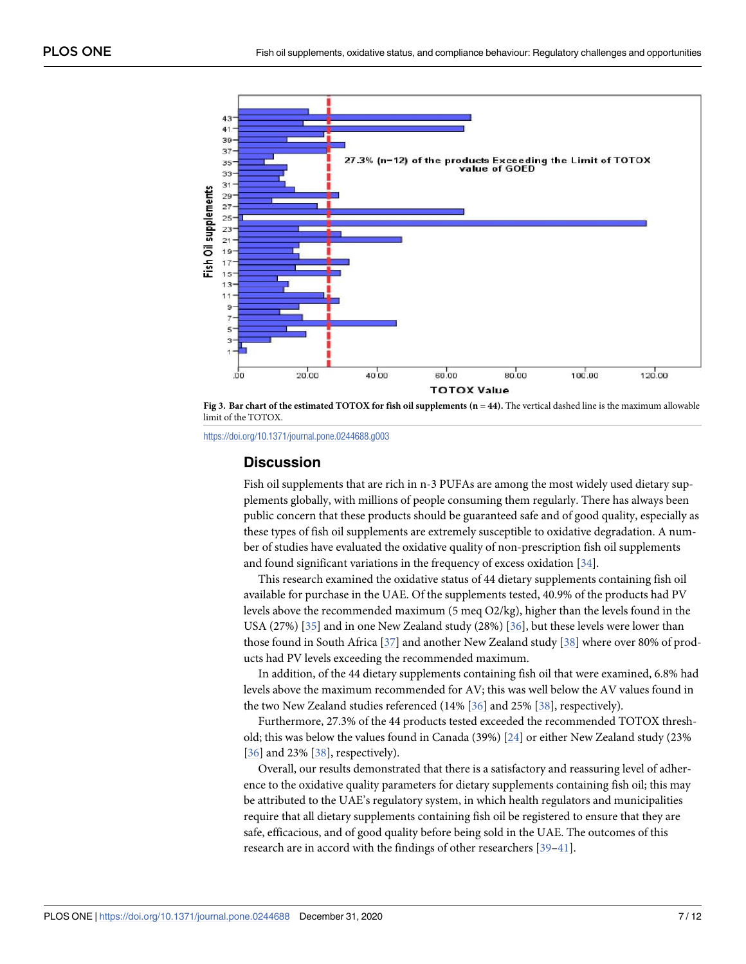<span id="page-6-0"></span>

**[Fig 3. B](#page-4-0)ar chart of the estimated TOTOX for fish oil supplements (n = 44). The vertical dashed line is the maximum allowable** limit of the TOTOX.

<https://doi.org/10.1371/journal.pone.0244688.g003>

#### **Discussion**

Fish oil supplements that are rich in n-3 PUFAs are among the most widely used dietary supplements globally, with millions of people consuming them regularly. There has always been public concern that these products should be guaranteed safe and of good quality, especially as these types of fish oil supplements are extremely susceptible to oxidative degradation. A number of studies have evaluated the oxidative quality of non-prescription fish oil supplements and found significant variations in the frequency of excess oxidation [[34](#page-11-0)].

This research examined the oxidative status of 44 dietary supplements containing fish oil available for purchase in the UAE. Of the supplements tested, 40.9% of the products had PV levels above the recommended maximum (5 meq O2/kg), higher than the levels found in the USA (27%) [[35](#page-11-0)] and in one New Zealand study (28%) [[36](#page-11-0)], but these levels were lower than those found in South Africa [\[37\]](#page-11-0) and another New Zealand study [[38](#page-11-0)] where over 80% of products had PV levels exceeding the recommended maximum.

In addition, of the 44 dietary supplements containing fish oil that were examined, 6.8% had levels above the maximum recommended for AV; this was well below the AV values found in the two New Zealand studies referenced (14% [\[36\]](#page-11-0) and 25% [\[38\]](#page-11-0), respectively).

Furthermore, 27.3% of the 44 products tested exceeded the recommended TOTOX threshold; this was below the values found in Canada (39%) [[24](#page-10-0)] or either New Zealand study (23% [\[36\]](#page-11-0) and 23% [[38](#page-11-0)], respectively).

Overall, our results demonstrated that there is a satisfactory and reassuring level of adherence to the oxidative quality parameters for dietary supplements containing fish oil; this may be attributed to the UAE's regulatory system, in which health regulators and municipalities require that all dietary supplements containing fish oil be registered to ensure that they are safe, efficacious, and of good quality before being sold in the UAE. The outcomes of this research are in accord with the findings of other researchers [\[39–41](#page-11-0)].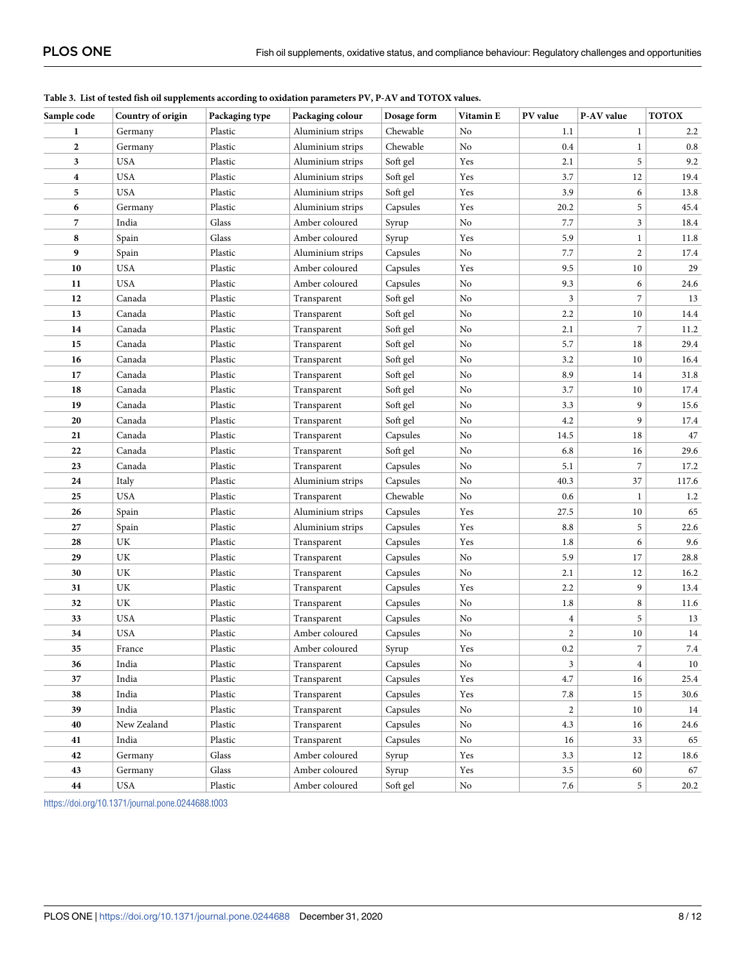| Sample code      | Country of origin | Packaging type | Packaging colour | Dosage form | Vitamin E            | PV value                | P-AV value     | <b>TOTOX</b> |
|------------------|-------------------|----------------|------------------|-------------|----------------------|-------------------------|----------------|--------------|
| 1                | Germany           | Plastic        | Aluminium strips | Chewable    | No                   | 1.1                     | $\mathbf{1}$   | 2.2          |
| $\overline{2}$   | Germany           | Plastic        | Aluminium strips | Chewable    | No                   | 0.4                     | $\mathbf{1}$   | $0.8\,$      |
| 3                | <b>USA</b>        | Plastic        | Aluminium strips | Soft gel    | Yes                  | 2.1                     | 5              | 9.2          |
| $\boldsymbol{4}$ | <b>USA</b>        | Plastic        | Aluminium strips | Soft gel    | Yes                  | 3.7                     | 12             | 19.4         |
| 5                | <b>USA</b>        | Plastic        | Aluminium strips | Soft gel    | Yes                  | 3.9                     | 6              | 13.8         |
| 6                | Germany           | Plastic        | Aluminium strips | Capsules    | Yes                  | 20.2                    | 5              | 45.4         |
| 7                | India             | Glass          | Amber coloured   | Syrup       | No                   | 7.7                     | $\mathfrak{Z}$ | 18.4         |
| 8                | Spain             | Glass          | Amber coloured   | Syrup       | Yes                  | 5.9                     | 1              | 11.8         |
| 9                | Spain             | Plastic        | Aluminium strips | Capsules    | No                   | 7.7                     | $\overline{2}$ | 17.4         |
| 10               | <b>USA</b>        | Plastic        | Amber coloured   | Capsules    | Yes                  | 9.5                     | 10             | 29           |
| 11               | <b>USA</b>        | Plastic        | Amber coloured   | Capsules    | No                   | 9.3                     | 6              | 24.6         |
| 12               | Canada            | Plastic        | Transparent      | Soft gel    | No                   | 3                       | 7              | 13           |
| 13               | Canada            | Plastic        | Transparent      | Soft gel    | No                   | 2.2                     | $10\,$         | 14.4         |
| 14               | Canada            | Plastic        | Transparent      | Soft gel    | No                   | 2.1                     | $\sqrt{2}$     | 11.2         |
| 15               | Canada            | Plastic        | Transparent      | Soft gel    | No                   | 5.7                     | 18             | 29.4         |
| 16               | Canada            | Plastic        | Transparent      | Soft gel    | No                   | 3.2                     | 10             | 16.4         |
| 17               | Canada            | Plastic        | Transparent      | Soft gel    | No                   | 8.9                     | 14             | 31.8         |
| 18               | Canada            | Plastic        | Transparent      | Soft gel    | No                   | 3.7                     | 10             | 17.4         |
| 19               | Canada            | Plastic        | Transparent      | Soft gel    | No                   | 3.3                     | 9              | 15.6         |
| 20               | Canada            | Plastic        | Transparent      | Soft gel    | No                   | 4.2                     | 9              | 17.4         |
| 21               | Canada            | Plastic        | Transparent      | Capsules    | No                   | 14.5                    | 18             | 47           |
| 22               | Canada            | Plastic        | Transparent      | Soft gel    | No                   | 6.8                     | 16             | 29.6         |
| 23               | Canada            | Plastic        | Transparent      | Capsules    | No                   | 5.1                     | 7              | 17.2         |
| 24               | Italy             | Plastic        | Aluminium strips | Capsules    | No                   | 40.3                    | 37             | 117.6        |
| 25               | <b>USA</b>        | Plastic        | Transparent      | Chewable    | No                   | 0.6                     | $\mathbf{1}$   | 1.2          |
| 26               | Spain             | Plastic        | Aluminium strips | Capsules    | Yes                  | 27.5                    | 10             | 65           |
| 27               | Spain             | Plastic        | Aluminium strips | Capsules    | Yes                  | 8.8                     | 5              | 22.6         |
| 28               | UK                | Plastic        | Transparent      | Capsules    | Yes                  | 1.8                     | 6              | 9.6          |
| 29               | UK                | Plastic        | Transparent      | Capsules    | No                   | 5.9                     | 17             | 28.8         |
| 30               | UK                | Plastic        | Transparent      | Capsules    | No                   | 2.1                     | 12             | 16.2         |
| 31               | UK                | Plastic        | Transparent      | Capsules    | Yes                  | 2.2                     | 9              | 13.4         |
| 32               | UK                | Plastic        | Transparent      | Capsules    | No                   | 1.8                     | 8              | 11.6         |
| 33               | <b>USA</b>        | Plastic        | Transparent      | Capsules    | No                   | $\overline{\mathbf{4}}$ | 5              | 13           |
| 34               | <b>USA</b>        | Plastic        | Amber coloured   | Capsules    | No                   | 2                       | 10             | 14           |
| 35               | France            | Plastic        | Amber coloured   | Syrup       | Yes                  | 0.2                     | 7              | 7.4          |
| 36               | India             | Plastic        | Transparent      | Capsules    | No                   | $\mathfrak{Z}$          | $\overline{4}$ | 10           |
| 37               | India             | Plastic        | Transparent      | Capsules    | Yes                  | 4.7                     | 16             | 25.4         |
| 38               | India             | Plastic        | Transparent      | Capsules    | Yes                  | 7.8                     | 15             | 30.6         |
| 39               | India             | Plastic        | Transparent      | Capsules    | No                   | $\overline{c}$          | 10             | 14           |
| 40               | New Zealand       | Plastic        | Transparent      | Capsules    | No                   | 4.3                     | 16             | 24.6         |
| 41               | India             | Plastic        | Transparent      | Capsules    | No                   | 16                      | 33             | 65           |
| 42               | Germany           | Glass          | Amber coloured   | Syrup       | Yes                  | 3.3                     | 12             | 18.6         |
| 43               | Germany           | Glass          | Amber coloured   | Syrup       | $\operatorname{Yes}$ | $3.5\,$                 | 60             | 67           |
| 44               | USA               | Plastic        | Amber coloured   | Soft gel    | $\rm No$             | $7.6\,$                 | 5              | 20.2         |

<span id="page-7-0"></span>**[Table 3.](#page-4-0) List of tested fish oil supplements according to oxidation parameters PV, P-AV and TOTOX values.**

<https://doi.org/10.1371/journal.pone.0244688.t003>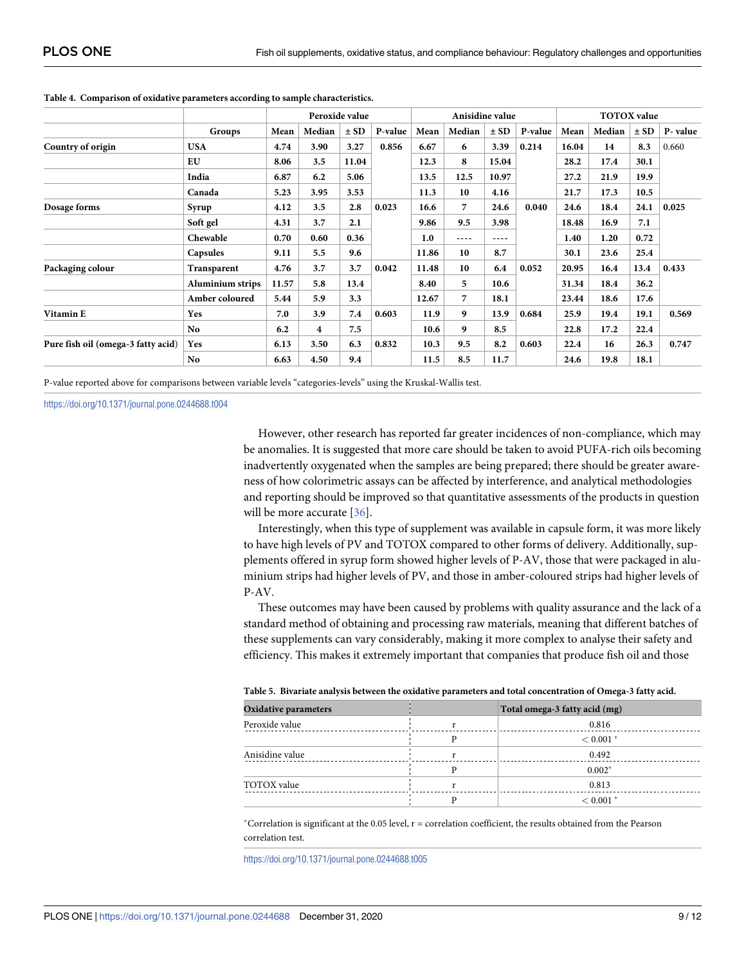|                                    |                  | Peroxide value |        | Anisidine value |         |       |                | <b>TOTOX</b> value |         |       |        |          |         |
|------------------------------------|------------------|----------------|--------|-----------------|---------|-------|----------------|--------------------|---------|-------|--------|----------|---------|
|                                    | Groups           | Mean           | Median | $\pm$ SD        | P-value | Mean  | Median         | $\pm$ SD           | P-value | Mean  | Median | $\pm$ SD | P-value |
| Country of origin                  | <b>USA</b>       | 4.74           | 3.90   | 3.27            | 0.856   | 6.67  | 6              | 3.39               | 0.214   | 16.04 | 14     | 8.3      | 0.660   |
|                                    | EU               | 8.06           | 3.5    | 11.04           |         | 12.3  | 8              | 15.04              |         | 28.2  | 17.4   | 30.1     |         |
|                                    | India            | 6.87           | 6.2    | 5.06            |         | 13.5  | 12.5           | 10.97              |         | 27.2  | 21.9   | 19.9     |         |
|                                    | Canada           | 5.23           | 3.95   | 3.53            |         | 11.3  | 10             | 4.16               |         | 21.7  | 17.3   | 10.5     |         |
| Dosage forms                       | Syrup            | 4.12           | 3.5    | 2.8             | 0.023   | 16.6  | $\overline{7}$ | 24.6               | 0.040   | 24.6  | 18.4   | 24.1     | 0.025   |
|                                    | Soft gel         | 4.31           | 3.7    | 2.1             |         | 9.86  | 9.5            | 3.98               |         | 18.48 | 16.9   | 7.1      |         |
|                                    | Chewable         | 0.70           | 0.60   | 0.36            |         | 1.0   | $- - - -$      | ----               |         | 1.40  | 1.20   | 0.72     |         |
|                                    | Capsules         | 9.11           | 5.5    | 9.6             |         | 11.86 | 10             | 8.7                |         | 30.1  | 23.6   | 25.4     |         |
| Packaging colour                   | Transparent      | 4.76           | 3.7    | 3.7             | 0.042   | 11.48 | 10             | 6.4                | 0.052   | 20.95 | 16.4   | 13.4     | 0.433   |
|                                    | Aluminium strips | 11.57          | 5.8    | 13.4            |         | 8.40  | 5              | 10.6               |         | 31.34 | 18.4   | 36.2     |         |
|                                    | Amber coloured   | 5.44           | 5.9    | 3.3             |         | 12.67 | $\overline{7}$ | 18.1               |         | 23.44 | 18.6   | 17.6     |         |
| Vitamin E                          | Yes              | 7.0            | 3.9    | 7.4             | 0.603   | 11.9  | 9              | 13.9               | 0.684   | 25.9  | 19.4   | 19.1     | 0.569   |
|                                    | No.              | 6.2            | 4      | 7.5             |         | 10.6  | 9              | 8.5                |         | 22.8  | 17.2   | 22.4     |         |
| Pure fish oil (omega-3 fatty acid) | Yes              | 6.13           | 3.50   | 6.3             | 0.832   | 10.3  | 9.5            | 8.2                | 0.603   | 22.4  | 16     | 26.3     | 0.747   |
|                                    | No.              | 6.63           | 4.50   | 9.4             |         | 11.5  | 8.5            | 11.7               |         | 24.6  | 19.8   | 18.1     |         |

#### <span id="page-8-0"></span>**[Table 4.](#page-4-0) Comparison of oxidative parameters according to sample characteristics.**

P-value reported above for comparisons between variable levels "categories-levels" using the Kruskal-Wallis test.

<https://doi.org/10.1371/journal.pone.0244688.t004>

However, other research has reported far greater incidences of non-compliance, which may be anomalies. It is suggested that more care should be taken to avoid PUFA-rich oils becoming inadvertently oxygenated when the samples are being prepared; there should be greater awareness of how colorimetric assays can be affected by interference, and analytical methodologies and reporting should be improved so that quantitative assessments of the products in question will be more accurate [\[36\]](#page-11-0).

Interestingly, when this type of supplement was available in capsule form, it was more likely to have high levels of PV and TOTOX compared to other forms of delivery. Additionally, supplements offered in syrup form showed higher levels of P-AV, those that were packaged in aluminium strips had higher levels of PV, and those in amber-coloured strips had higher levels of P-AV.

These outcomes may have been caused by problems with quality assurance and the lack of a standard method of obtaining and processing raw materials, meaning that different batches of these supplements can vary considerably, making it more complex to analyse their safety and efficiency. This makes it extremely important that companies that produce fish oil and those

| Table 5. Divariate analysis between the baluative parameters and total concentration of Omega-5 faity acid. |  |                               |  |  |  |  |  |  |
|-------------------------------------------------------------------------------------------------------------|--|-------------------------------|--|--|--|--|--|--|
| <b>Oxidative parameters</b>                                                                                 |  | Total omega-3 fatty acid (mg) |  |  |  |  |  |  |
| Peroxide value                                                                                              |  | 0.816                         |  |  |  |  |  |  |
|                                                                                                             |  | $< 0.001$ *                   |  |  |  |  |  |  |
| Anisidine value                                                                                             |  | 0.492                         |  |  |  |  |  |  |
|                                                                                                             |  | $0.002*$                      |  |  |  |  |  |  |
| TOTOX value                                                                                                 |  | 0.813                         |  |  |  |  |  |  |
|                                                                                                             |  | $< 0.001$ *                   |  |  |  |  |  |  |

**[Table 5.](#page-5-0) Bivariate analysis between the oxidative parameters and total concentration of Omega-3 fatty acid.**

 $*$ Correlation is significant at the 0.05 level,  $r =$  correlation coefficient, the results obtained from the Pearson correlation test.

<https://doi.org/10.1371/journal.pone.0244688.t005>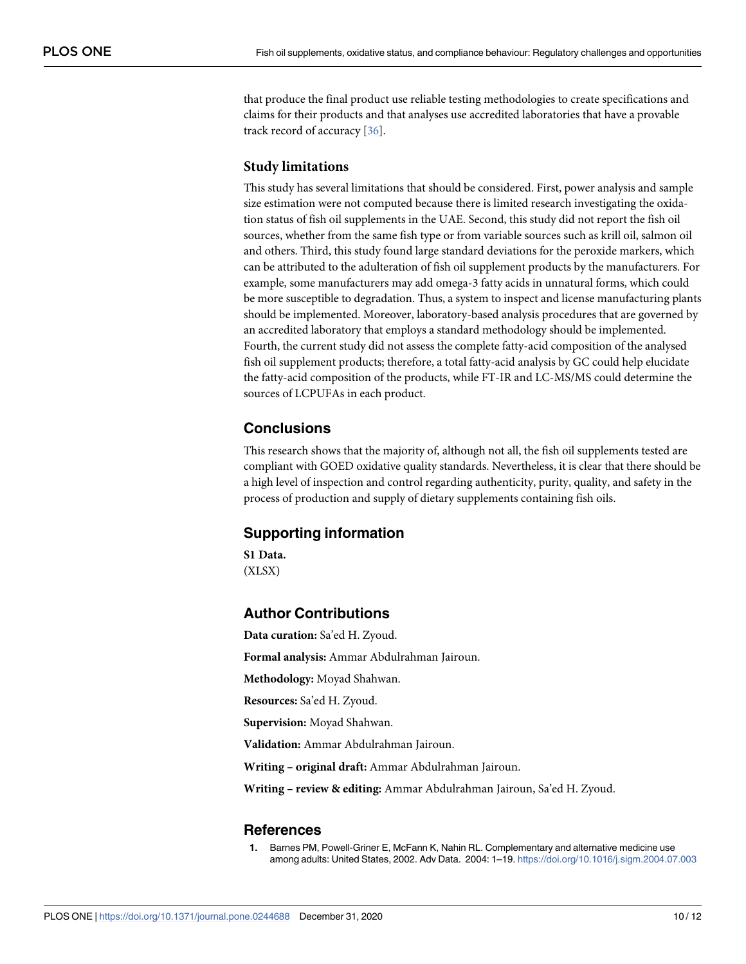<span id="page-9-0"></span>that produce the final product use reliable testing methodologies to create specifications and claims for their products and that analyses use accredited laboratories that have a provable track record of accuracy [[36](#page-11-0)].

#### **Study limitations**

This study has several limitations that should be considered. First, power analysis and sample size estimation were not computed because there is limited research investigating the oxidation status of fish oil supplements in the UAE. Second, this study did not report the fish oil sources, whether from the same fish type or from variable sources such as krill oil, salmon oil and others. Third, this study found large standard deviations for the peroxide markers, which can be attributed to the adulteration of fish oil supplement products by the manufacturers. For example, some manufacturers may add omega-3 fatty acids in unnatural forms, which could be more susceptible to degradation. Thus, a system to inspect and license manufacturing plants should be implemented. Moreover, laboratory-based analysis procedures that are governed by an accredited laboratory that employs a standard methodology should be implemented. Fourth, the current study did not assess the complete fatty-acid composition of the analysed fish oil supplement products; therefore, a total fatty-acid analysis by GC could help elucidate the fatty-acid composition of the products, while FT-IR and LC-MS/MS could determine the sources of LCPUFAs in each product.

# **Conclusions**

This research shows that the majority of, although not all, the fish oil supplements tested are compliant with GOED oxidative quality standards. Nevertheless, it is clear that there should be a high level of inspection and control regarding authenticity, purity, quality, and safety in the process of production and supply of dietary supplements containing fish oils.

#### **Supporting information**

**[S1 Data](http://www.plosone.org/article/fetchSingleRepresentation.action?uri=info:doi/10.1371/journal.pone.0244688.s001).** (XLSX)

#### **Author Contributions**

**Data curation:** Sa'ed H. Zyoud. **Formal analysis:** Ammar Abdulrahman Jairoun. **Methodology:** Moyad Shahwan. **Resources:** Sa'ed H. Zyoud. **Supervision:** Moyad Shahwan. **Validation:** Ammar Abdulrahman Jairoun.

**Writing – original draft:** Ammar Abdulrahman Jairoun.

**Writing – review & editing:** Ammar Abdulrahman Jairoun, Sa'ed H. Zyoud.

#### **References**

**[1](#page-1-0).** Barnes PM, Powell-Griner E, McFann K, Nahin RL. Complementary and alternative medicine use among adults: United States, 2002. Adv Data. 2004: 1–19. <https://doi.org/10.1016/j.sigm.2004.07.003>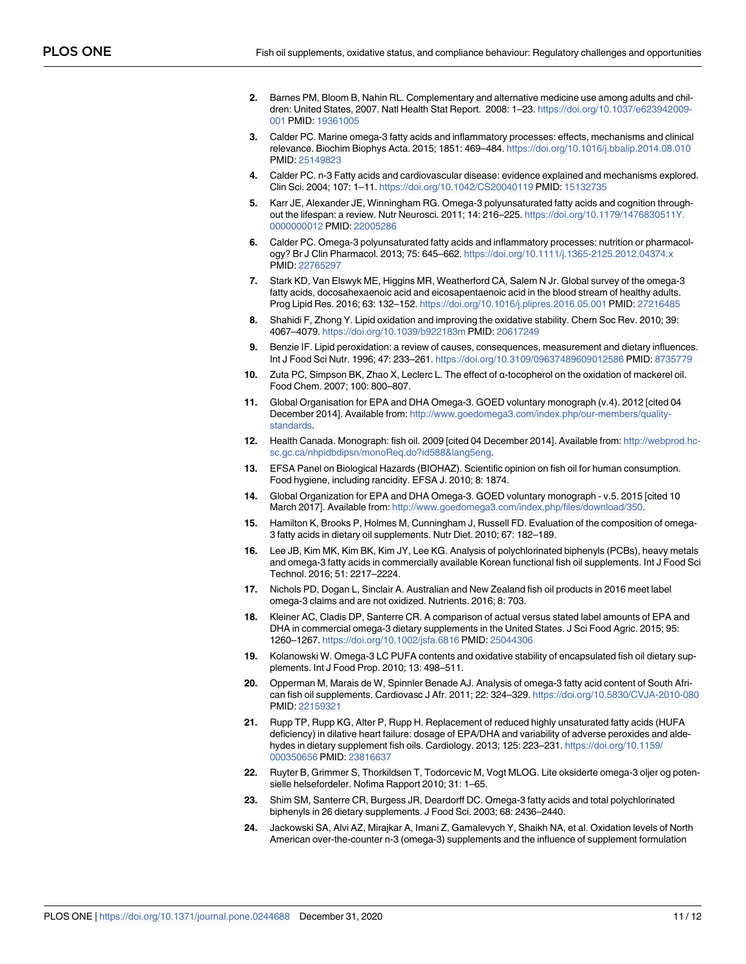- <span id="page-10-0"></span>**[2](#page-1-0).** Barnes PM, Bloom B, Nahin RL. Complementary and alternative medicine use among adults and children: United States, 2007. Natl Health Stat Report. 2008: 1–23. [https://doi.org/10.1037/e623942009-](https://doi.org/10.1037/e623942009-001) [001](https://doi.org/10.1037/e623942009-001) PMID: [19361005](http://www.ncbi.nlm.nih.gov/pubmed/19361005)
- **[3](#page-1-0).** Calder PC. Marine omega-3 fatty acids and inflammatory processes: effects, mechanisms and clinical relevance. Biochim Biophys Acta. 2015; 1851: 469–484. <https://doi.org/10.1016/j.bbalip.2014.08.010> PMID: [25149823](http://www.ncbi.nlm.nih.gov/pubmed/25149823)
- **[4](#page-1-0).** Calder PC. n-3 Fatty acids and cardiovascular disease: evidence explained and mechanisms explored. Clin Sci. 2004; 107: 1–11. <https://doi.org/10.1042/CS20040119> PMID: [15132735](http://www.ncbi.nlm.nih.gov/pubmed/15132735)
- **[5](#page-1-0).** Karr JE, Alexander JE, Winningham RG. Omega-3 polyunsaturated fatty acids and cognition throughout the lifespan: a review. Nutr Neurosci. 2011; 14: 216-225. [https://doi.org/10.1179/1476830511Y.](https://doi.org/10.1179/1476830511Y.0000000012) [0000000012](https://doi.org/10.1179/1476830511Y.0000000012) PMID: [22005286](http://www.ncbi.nlm.nih.gov/pubmed/22005286)
- **[6](#page-1-0).** Calder PC. Omega-3 polyunsaturated fatty acids and inflammatory processes: nutrition or pharmacology? Br J Clin Pharmacol. 2013; 75: 645–662. <https://doi.org/10.1111/j.1365-2125.2012.04374.x> PMID: [22765297](http://www.ncbi.nlm.nih.gov/pubmed/22765297)
- **[7](#page-1-0).** Stark KD, Van Elswyk ME, Higgins MR, Weatherford CA, Salem N Jr. Global survey of the omega-3 fatty acids, docosahexaenoic acid and eicosapentaenoic acid in the blood stream of healthy adults. Prog Lipid Res. 2016; 63: 132–152. <https://doi.org/10.1016/j.plipres.2016.05.001> PMID: [27216485](http://www.ncbi.nlm.nih.gov/pubmed/27216485)
- **[8](#page-1-0).** Shahidi F, Zhong Y. Lipid oxidation and improving the oxidative stability. Chem Soc Rev. 2010; 39: 4067–4079. <https://doi.org/10.1039/b922183m> PMID: [20617249](http://www.ncbi.nlm.nih.gov/pubmed/20617249)
- **[9](#page-1-0).** Benzie IF. Lipid peroxidation: a review of causes, consequences, measurement and dietary influences. Int J Food Sci Nutr. 1996; 47: 233–261. <https://doi.org/10.3109/09637489609012586> PMID: [8735779](http://www.ncbi.nlm.nih.gov/pubmed/8735779)
- **[10](#page-1-0).** Zuta PC, Simpson BK, Zhao X, Leclerc L. The effect of α-tocopherol on the oxidation of mackerel oil. Food Chem. 2007; 100: 800–807.
- **[11](#page-1-0).** Global Organisation for EPA and DHA Omega-3. GOED voluntary monograph (v.4). 2012 [cited 04 December 2014]. Available from: [http://www.goedomega3.com/index.php/our-members/quality](http://www.goedomega3.com/index.php/our-members/quality-standards)**[standards](http://www.goedomega3.com/index.php/our-members/quality-standards)**
- **[12](#page-1-0).** Health Canada. Monograph: fish oil. 2009 [cited 04 December 2014]. Available from: [http://webprod.hc](http://webprod.hc-sc.gc.ca/nhpidbdipsn/monoReq.do?id588&lang5eng)[sc.gc.ca/nhpidbdipsn/monoReq.do?id588&lang5eng](http://webprod.hc-sc.gc.ca/nhpidbdipsn/monoReq.do?id588&lang5eng).
- **[13](#page-1-0).** EFSA Panel on Biological Hazards (BIOHAZ). Scientific opinion on fish oil for human consumption. Food hygiene, including rancidity. EFSA J. 2010; 8: 1874.
- **[14](#page-2-0).** Global Organization for EPA and DHA Omega-3. GOED voluntary monograph v.5. 2015 [cited 10 March 2017]. Available from: [http://www.goedomega3.com/index.php/files/download/350.](http://www.goedomega3.com/index.php/files/download/350)
- **[15](#page-2-0).** Hamilton K, Brooks P, Holmes M, Cunningham J, Russell FD. Evaluation of the composition of omega-3 fatty acids in dietary oil supplements. Nutr Diet. 2010; 67: 182–189.
- **16.** Lee JB, Kim MK, Kim BK, Kim JY, Lee KG. Analysis of polychlorinated biphenyls (PCBs), heavy metals and omega-3 fatty acids in commercially available Korean functional fish oil supplements. Int J Food Sci Technol. 2016; 51: 2217–2224.
- **[17](#page-2-0).** Nichols PD, Dogan L, Sinclair A. Australian and New Zealand fish oil products in 2016 meet label omega-3 claims and are not oxidized. Nutrients. 2016; 8: 703.
- **[18](#page-2-0).** Kleiner AC, Cladis DP, Santerre CR. A comparison of actual versus stated label amounts of EPA and DHA in commercial omega-3 dietary supplements in the United States. J Sci Food Agric. 2015; 95: 1260–1267. <https://doi.org/10.1002/jsfa.6816> PMID: [25044306](http://www.ncbi.nlm.nih.gov/pubmed/25044306)
- **19.** Kolanowski W. Omega-3 LC PUFA contents and oxidative stability of encapsulated fish oil dietary supplements. Int J Food Prop. 2010; 13: 498–511.
- **20.** Opperman M, Marais de W, Spinnler Benade AJ. Analysis of omega-3 fatty acid content of South African fish oil supplements. Cardiovasc J Afr. 2011; 22: 324–329. <https://doi.org/10.5830/CVJA-2010-080> PMID: [22159321](http://www.ncbi.nlm.nih.gov/pubmed/22159321)
- **21.** Rupp TP, Rupp KG, Alter P, Rupp H. Replacement of reduced highly unsaturated fatty acids (HUFA deficiency) in dilative heart failure: dosage of EPA/DHA and variability of adverse peroxides and aldehydes in dietary supplement fish oils. Cardiology. 2013; 125: 223–231. [https://doi.org/10.1159/](https://doi.org/10.1159/000350656) [000350656](https://doi.org/10.1159/000350656) PMID: [23816637](http://www.ncbi.nlm.nih.gov/pubmed/23816637)
- **22.** Ruyter B, Grimmer S, Thorkildsen T, Todorcevic M, Vogt MLOG. Lite oksiderte omega-3 oljer og potensielle helsefordeler. Nofima Rapport 2010; 31: 1–65.
- **23.** Shim SM, Santerre CR, Burgess JR, Deardorff DC. Omega-3 fatty acids and total polychlorinated biphenyls in 26 dietary supplements. J Food Sci. 2003; 68: 2436–2440.
- **[24](#page-6-0).** Jackowski SA, Alvi AZ, Mirajkar A, Imani Z, Gamalevych Y, Shaikh NA, et al. Oxidation levels of North American over-the-counter n-3 (omega-3) supplements and the influence of supplement formulation